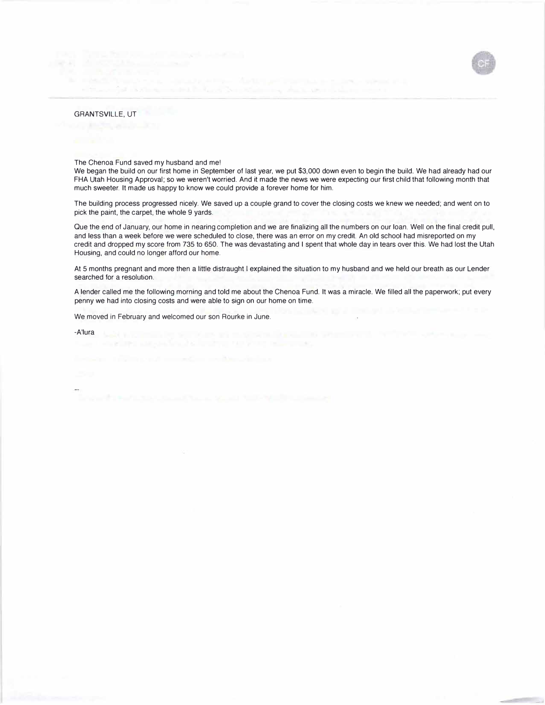## GRANTSVILLE, UT

The Chenoa Fund saved my husband and me!

We began the build on our first home in September of last year, we put \$3,000 down even to begin the build. We had already had our FHA Utah Housing Approval; so we weren't worried. And it made the news we were expecting our first child that following month that much sweeter. It made us happy to know we could provide a forever home for him.

The building process progressed nicely. We saved up a couple grand to cover the closing costs we knew we needed; and went on to pick the paint, the carpet, the whole 9 yards.

Que the end of January, our home in nearing completion and we are finalizing all the numbers on our loan. Well on the final credit pull, and less than a week before we were scheduled to close, there was an error on my credit. An old school had misreported on my credit and dropped my score from 735 to 650. The was devastating and I spent that whole day in tears over this. We had lost the Utah Housing, and could no longer afford our home.

At 5 months pregnant and more then a little distraught I explained the situation to my husband and we held our breath as our Lender searched for a resolution.

A lender called me the following morning and told me about the Chenoa Fund. It was a miracle. We filled all the paperwork; put every penny we had into closing costs and were able to sign on our home on time.

We moved in February and welcomed our son Rourke in June.

72

-A'lura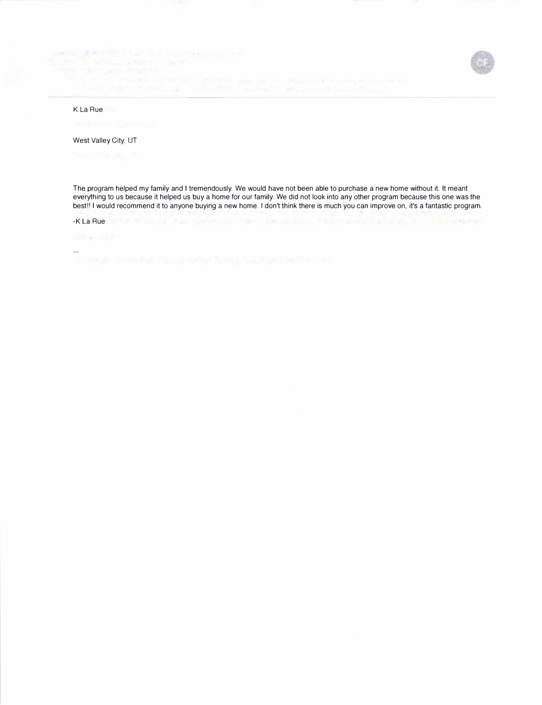## 



West Valley City, UT

The program helped my family and I tremendously. We would have not been able to purchase a new home without it. It meant everything to us because it helped us buy a home for our family. We did not look into any other program because this one was the best!! I would recommend it to anyone buying a new home. I don't think there is much you can improve on, it's a fantastic program.

-K La Rue Change and Change and Change and Change and Change and Change and Change and Change and Change and

 $\sim$ 

ARCOT LINE IS CONTINUES IN